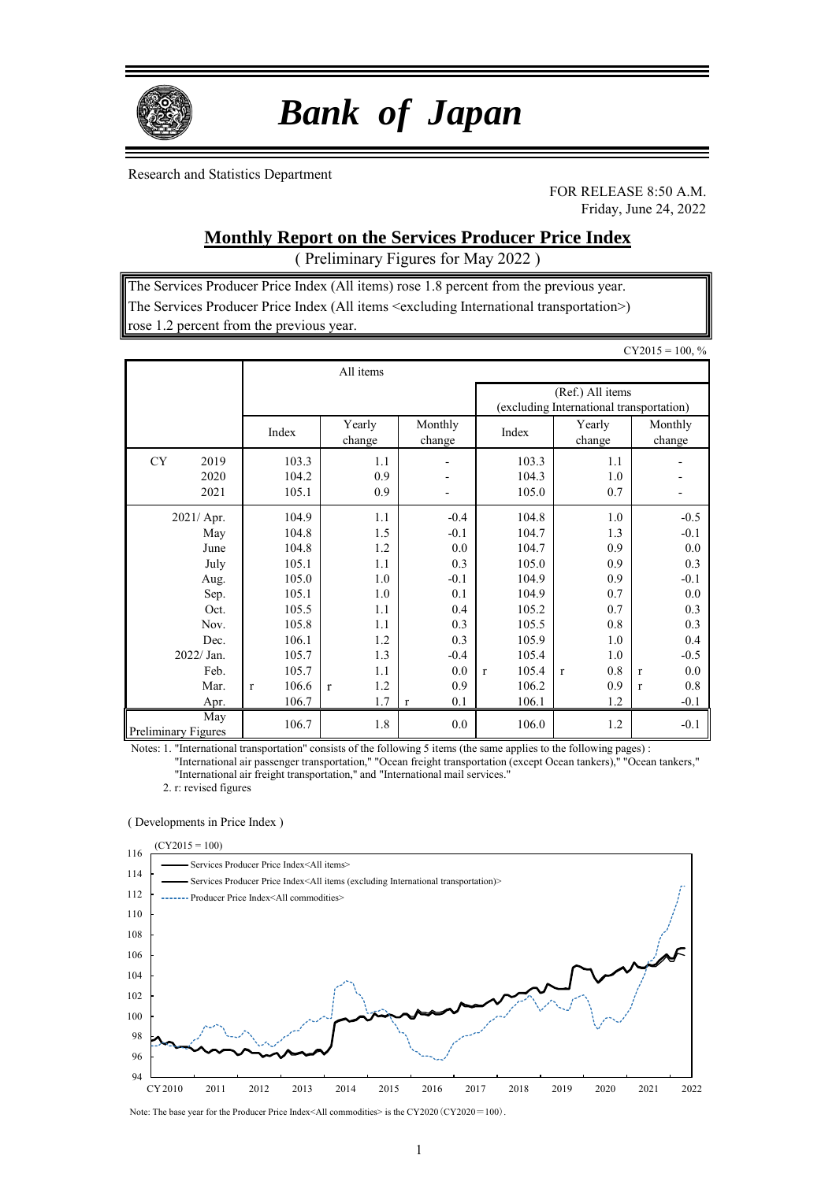

# *Bank of Japan*

Research and Statistics Department

FOR RELEASE 8:50 A.M. Friday, June 24, 2022

## **Monthly Report on the Services Producer Price Index**

( Preliminary Figures for May 2022 )

The Services Producer Price Index (All items) rose 1.8 percent from the previous year. The Services Producer Price Index (All items <excluding International transportation>) rose 1.2 percent from the previous year.

|                                   |                       |                     |                          |                       |                                                              | $CY2015 = 100, %$   |
|-----------------------------------|-----------------------|---------------------|--------------------------|-----------------------|--------------------------------------------------------------|---------------------|
|                                   |                       | All items           |                          |                       |                                                              |                     |
|                                   |                       |                     |                          |                       | (Ref.) All items<br>(excluding International transportation) |                     |
|                                   | Index                 | Yearly<br>change    | Monthly<br>change        | Index                 | Yearly<br>change                                             | Monthly<br>change   |
| CY<br>2019                        | 103.3                 | 1.1                 | $\overline{\phantom{0}}$ | 103.3                 | 1.1                                                          |                     |
| 2020                              | 104.2                 | 0.9                 |                          | 104.3                 | 1.0                                                          |                     |
| 2021                              | 105.1                 | 0.9                 |                          | 105.0                 | 0.7                                                          |                     |
| 2021/ Apr.                        | 104.9                 | 1.1                 | $-0.4$                   | 104.8                 | 1.0                                                          | $-0.5$              |
| May                               | 104.8                 | 1.5                 | $-0.1$                   | 104.7                 | 1.3                                                          | $-0.1$              |
| June                              | 104.8                 | 1.2                 | 0.0                      | 104.7                 | 0.9                                                          | 0.0                 |
| July                              | 105.1                 | 1.1                 | 0.3                      | 105.0                 | 0.9                                                          | 0.3                 |
| Aug.                              | 105.0                 | 1.0                 | $-0.1$                   | 104.9                 | 0.9                                                          | $-0.1$              |
| Sep.                              | 105.1                 | 1.0                 | 0.1                      | 104.9                 | 0.7                                                          | 0.0                 |
| Oct.                              | 105.5                 | 1.1                 | 0.4                      | 105.2                 | 0.7                                                          | 0.3                 |
| Nov.                              | 105.8                 | 1.1                 | 0.3                      | 105.5                 | 0.8                                                          | 0.3                 |
| Dec.                              | 106.1                 | 1.2                 | 0.3                      | 105.9                 | 1.0                                                          | 0.4                 |
| 2022/ Jan.                        | 105.7                 | 1.3                 | $-0.4$                   | 105.4                 | 1.0                                                          | $-0.5$              |
| Feb.                              | 105.7                 | 1.1                 | 0.0                      | 105.4<br>$\mathbf{r}$ | 0.8<br>$\mathbf{r}$                                          | 0.0<br>$\mathbf{r}$ |
| Mar.                              | 106.6<br>$\mathbf{r}$ | 1.2<br>$\mathbf{r}$ | 0.9                      | 106.2                 | 0.9                                                          | 0.8<br>$\mathbf{r}$ |
| Apr.                              | 106.7                 | 1.7                 | 0.1<br>$\mathbf{r}$      | 106.1                 | 1.2                                                          | $-0.1$              |
| May<br><b>Preliminary Figures</b> | 106.7                 | 1.8                 | 0.0                      | 106.0                 | 1.2                                                          | $-0.1$              |

Notes: 1. "International transportation" consists of the following 5 items (the same applies to the following pages) :

"International air passenger transportation," "Ocean freight transportation (except Ocean tankers)," "Ocean tankers," "International air freight transportation," and "International mail services."

2. r: revised figures

#### ( Developments in Price Index )



Note: The base year for the Producer Price Index<All commodities> is the CY2020 (CY2020=100).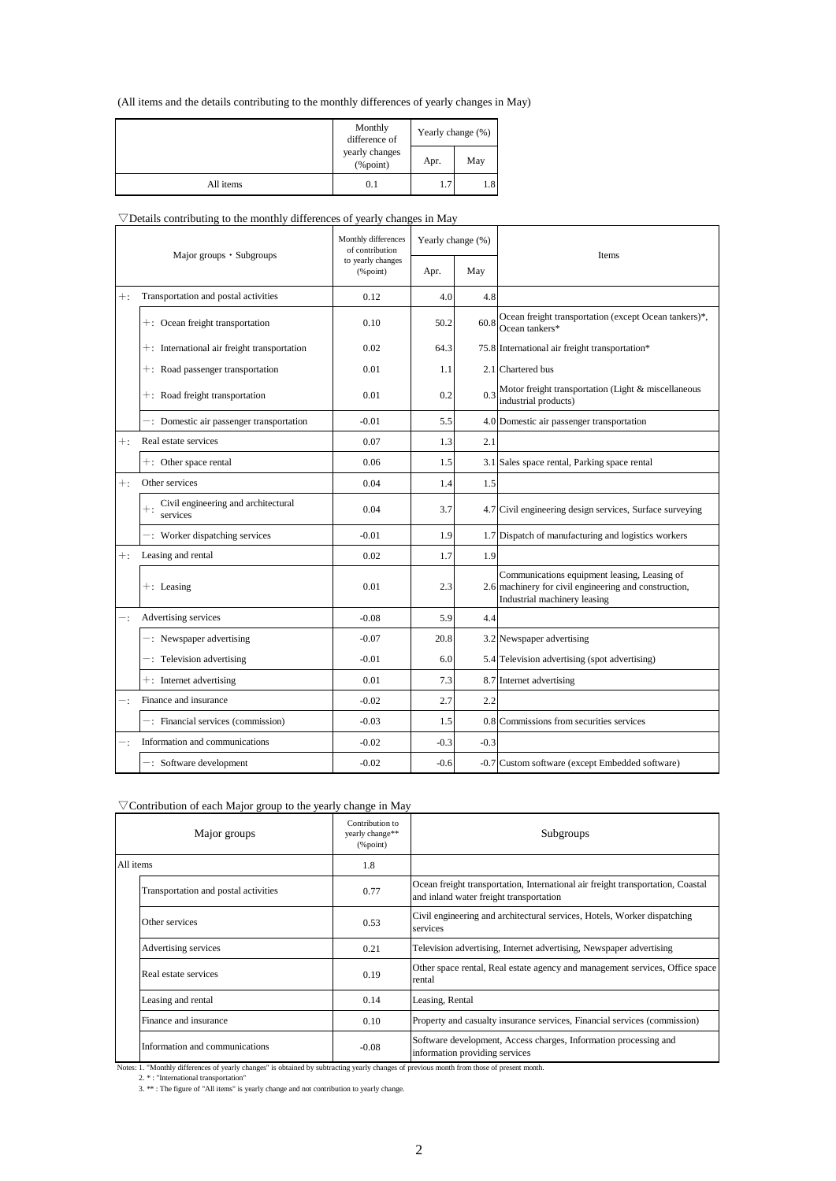(All items and the details contributing to the monthly differences of yearly changes in May)

|           | Monthly<br>difference of       | Yearly change (%) |     |
|-----------|--------------------------------|-------------------|-----|
|           | yearly changes<br>$(\%$ point) | Apr.              | May |
| All items | 0.1                            | 1.7               | 1.8 |

#### $\nabla$ Details contributing to the monthly differences of yearly changes in May

| Major groups • Subgroups |                                                       | Monthly differences<br>of contribution                        | Yearly change (%) |        | <b>Items</b>                                                                                                                          |  |
|--------------------------|-------------------------------------------------------|---------------------------------------------------------------|-------------------|--------|---------------------------------------------------------------------------------------------------------------------------------------|--|
|                          |                                                       | to yearly changes<br>$(% \mathcal{L}_{0}^{\infty})$ (% point) | Apr.              | May    |                                                                                                                                       |  |
| $+$ :                    | Transportation and postal activities                  | 0.12                                                          | 4.0               | 4.8    |                                                                                                                                       |  |
|                          | +: Ocean freight transportation                       | 0.10                                                          | 50.2              | 60.8   | Ocean freight transportation (except Ocean tankers)*,<br>Ocean tankers*                                                               |  |
|                          | $+$ : International air freight transportation        | 0.02                                                          | 64.3              |        | 75.8 International air freight transportation*                                                                                        |  |
|                          | +: Road passenger transportation                      | 0.01                                                          | 1.1               |        | 2.1 Chartered bus                                                                                                                     |  |
|                          | +: Road freight transportation                        | 0.01                                                          | 0.2               | 0.3    | Motor freight transportation (Light & miscellaneous<br>industrial products)                                                           |  |
|                          | -: Domestic air passenger transportation              | $-0.01$                                                       | 5.5               |        | 4.0 Domestic air passenger transportation                                                                                             |  |
| $+$ :                    | Real estate services                                  | 0.07                                                          | 1.3               | 2.1    |                                                                                                                                       |  |
|                          | $+$ : Other space rental                              | 0.06                                                          | 1.5               |        | 3.1 Sales space rental, Parking space rental                                                                                          |  |
| $+$ :                    | Other services                                        | 0.04                                                          | 1.4               | 1.5    |                                                                                                                                       |  |
|                          | $+$ : Civil engineering and architectural<br>services | 0.04                                                          | 3.7               |        | 4.7 Civil engineering design services, Surface surveying                                                                              |  |
|                          | -: Worker dispatching services                        | $-0.01$                                                       | 1.9               |        | 1.7 Dispatch of manufacturing and logistics workers                                                                                   |  |
| $+$ :                    | Leasing and rental                                    | 0.02                                                          | 1.7               | 1.9    |                                                                                                                                       |  |
|                          | $+$ : Leasing                                         | 0.01                                                          | 2.3               |        | Communications equipment leasing, Leasing of<br>2.6 machinery for civil engineering and construction,<br>Industrial machinery leasing |  |
|                          | Advertising services                                  | $-0.08$                                                       | 5.9               | 4.4    |                                                                                                                                       |  |
|                          | $-$ : Newspaper advertising                           | $-0.07$                                                       | 20.8              |        | 3.2 Newspaper advertising                                                                                                             |  |
|                          | -: Television advertising                             | $-0.01$                                                       | 6.0               |        | 5.4 Television advertising (spot advertising)                                                                                         |  |
|                          | $+$ : Internet advertising                            | 0.01                                                          | 7.3               |        | 8.7 Internet advertising                                                                                                              |  |
|                          | Finance and insurance                                 | $-0.02$                                                       | 2.7               | 2.2    |                                                                                                                                       |  |
|                          | -: Financial services (commission)                    | $-0.03$                                                       | 1.5               |        | 0.8 Commissions from securities services                                                                                              |  |
|                          | Information and communications                        | $-0.02$                                                       | $-0.3$            | $-0.3$ |                                                                                                                                       |  |
|                          | $-$ : Software development                            | $-0.02$                                                       | $-0.6$            |        | -0.7 Custom software (except Embedded software)                                                                                       |  |

#### $\nabla$  Contribution of each Major group to the yearly change in May

|           | Major groups                         | Contribution to<br>yearly change**<br>$%$ point) | Subgroups                                                                                                                  |
|-----------|--------------------------------------|--------------------------------------------------|----------------------------------------------------------------------------------------------------------------------------|
| All items |                                      | 1.8                                              |                                                                                                                            |
|           | Transportation and postal activities | 0.77                                             | Ocean freight transportation, International air freight transportation, Coastal<br>and inland water freight transportation |
|           | Other services                       | 0.53                                             | Civil engineering and architectural services, Hotels, Worker dispatching<br>services                                       |
|           | Advertising services                 | 0.21                                             | Television advertising, Internet advertising, Newspaper advertising                                                        |
|           | Real estate services                 | 0.19                                             | Other space rental, Real estate agency and management services, Office space<br>rental                                     |
|           | Leasing and rental                   | 0.14                                             | Leasing, Rental                                                                                                            |
|           | Finance and insurance                | 0.10                                             | Property and casualty insurance services, Financial services (commission)                                                  |
|           | Information and communications       | $-0.08$                                          | Software development, Access charges, Information processing and<br>information providing services                         |

Notes: 1. "Monthly differences of yearly changes" is obtained by subtracting yearly changes of previous month from those of present month.

2. \* : "International transportation"<br>3. \*\* : The figure of "All items" is yearly change and not contribution to yearly change.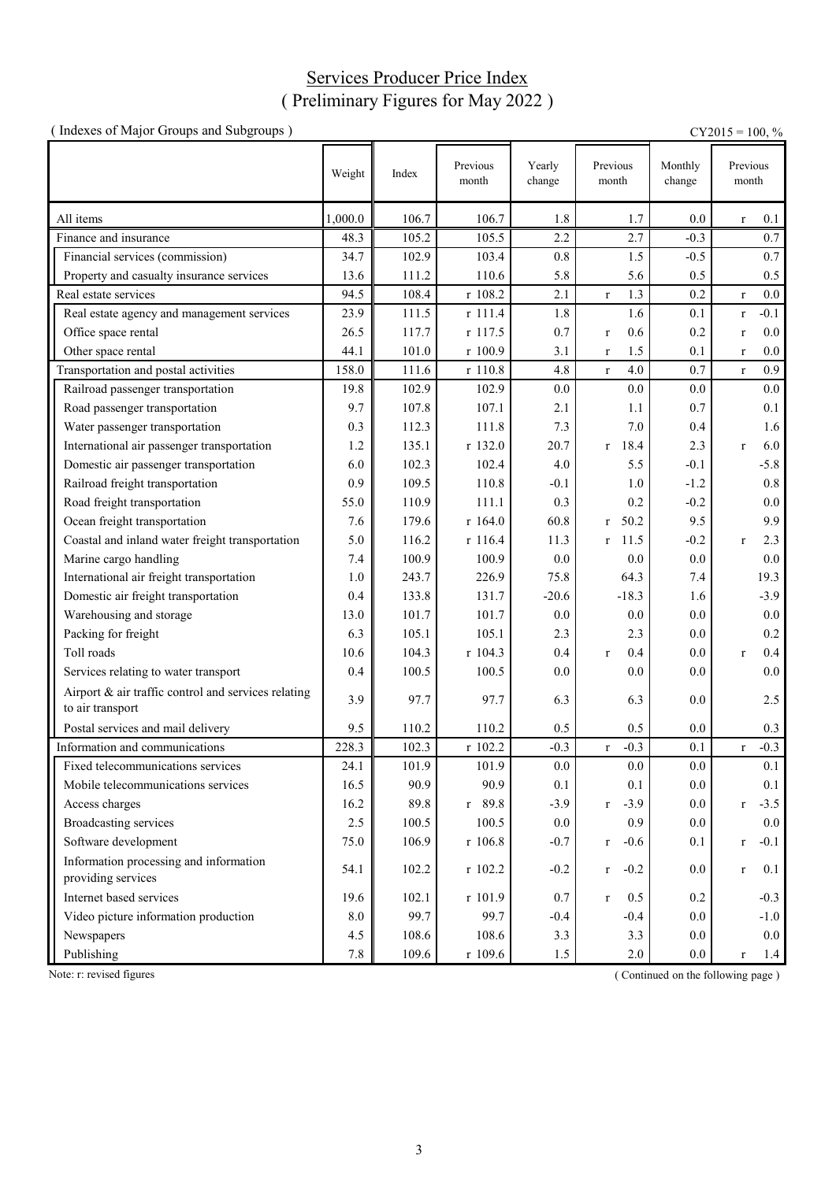# Services Producer Price Index ( Preliminary Figures for May 2022 )

| (Indexes of Major Groups and Subgroups)                                 |         |       |                   |                  |                        |                   | $CY2015 = 100, %$      |
|-------------------------------------------------------------------------|---------|-------|-------------------|------------------|------------------------|-------------------|------------------------|
|                                                                         | Weight  | Index | Previous<br>month | Yearly<br>change | Previous<br>month      | Monthly<br>change | Previous<br>month      |
| All items                                                               | 1,000.0 | 106.7 | 106.7             | 1.8              | 1.7                    | 0.0               | 0.1<br>$\bf r$         |
| Finance and insurance                                                   | 48.3    | 105.2 | 105.5             | 2.2              | 2.7                    | $-0.3$            | 0.7                    |
| Financial services (commission)                                         | 34.7    | 102.9 | 103.4             | 0.8              | 1.5                    | $-0.5$            | 0.7                    |
| Property and casualty insurance services                                | 13.6    | 111.2 | 110.6             | 5.8              | 5.6                    | 0.5               | 0.5                    |
| Real estate services                                                    | 94.5    | 108.4 | r 108.2           | 2.1              | 1.3<br>$\mathbf r$     | 0.2               | 0.0<br>$\mathbf r$     |
| Real estate agency and management services                              | 23.9    | 111.5 | r 111.4           | 1.8              | 1.6                    | 0.1               | $-0.1$<br>$\mathbf r$  |
| Office space rental                                                     | 26.5    | 117.7 | r 117.5           | 0.7              | 0.6<br>$\bf r$         | 0.2               | $0.0\,$<br>$\mathbf r$ |
| Other space rental                                                      | 44.1    | 101.0 | r 100.9           | 3.1              | 1.5<br>$\bf r$         | 0.1               | 0.0<br>$\bf r$         |
| Transportation and postal activities                                    | 158.0   | 111.6 | r 110.8           | 4.8              | 4.0<br>$\mathbf r$     | 0.7               | 0.9<br>$\mathbf{r}$    |
| Railroad passenger transportation                                       | 19.8    | 102.9 | 102.9             | 0.0              | 0.0                    | 0.0               | 0.0                    |
| Road passenger transportation                                           | 9.7     | 107.8 | 107.1             | 2.1              | 1.1                    | 0.7               | 0.1                    |
| Water passenger transportation                                          | 0.3     | 112.3 | 111.8             | 7.3              | 7.0                    | 0.4               | 1.6                    |
| International air passenger transportation                              | 1.2     | 135.1 | r 132.0           | 20.7             | 18.4<br>$\mathbf{r}$   | 2.3               | 6.0<br>$\mathbf{r}$    |
| Domestic air passenger transportation                                   | 6.0     | 102.3 | 102.4             | 4.0              | 5.5                    | $-0.1$            | $-5.8$                 |
| Railroad freight transportation                                         | 0.9     | 109.5 | 110.8             | $-0.1$           | 1.0                    | $-1.2$            | $0.8\,$                |
| Road freight transportation                                             | 55.0    | 110.9 | 111.1             | 0.3              | 0.2                    | $-0.2$            | 0.0                    |
| Ocean freight transportation                                            | 7.6     | 179.6 | r 164.0           | 60.8             | 50.2<br>$\mathbf{r}$   | 9.5               | 9.9                    |
| Coastal and inland water freight transportation                         | 5.0     | 116.2 | r 116.4           | 11.3             | 11.5<br>r              | $-0.2$            | 2.3<br>$\mathbf{r}$    |
| Marine cargo handling                                                   | 7.4     | 100.9 | 100.9             | 0.0              | 0.0                    | 0.0               | 0.0                    |
| International air freight transportation                                | 1.0     | 243.7 | 226.9             | 75.8             | 64.3                   | 7.4               | 19.3                   |
| Domestic air freight transportation                                     | 0.4     | 133.8 | 131.7             | $-20.6$          | $-18.3$                | 1.6               | $-3.9$                 |
| Warehousing and storage                                                 | 13.0    | 101.7 | 101.7             | 0.0              | 0.0                    | 0.0               | 0.0                    |
| Packing for freight                                                     | 6.3     | 105.1 | 105.1             | 2.3              | 2.3                    | 0.0               | 0.2                    |
| Toll roads                                                              | 10.6    | 104.3 | r 104.3           | 0.4              | 0.4<br>$\mathbf{r}$    | 0.0               | 0.4<br>$\mathbf{r}$    |
| Services relating to water transport                                    | 0.4     | 100.5 | 100.5             | 0.0              | 0.0                    | 0.0               | 0.0                    |
| Airport & air traffic control and services relating<br>to air transport | 3.9     | 97.7  | 97.7              | 6.3              | 6.3                    | 0.0               | 2.5                    |
| Postal services and mail delivery                                       | 9.5     | 110.2 | 110.2             | 0.5              | 0.5                    | 0.0               | 0.3                    |
| Information and communications                                          | 228.3   | 102.3 | r 102.2           | $-0.3$           | $-0.3$<br>$\mathbf r$  | 0.1               | $-0.3$<br>$\mathbf r$  |
| Fixed telecommunications services                                       | 24.1    | 101.9 | 101.9             | 0.0              | 0.0                    | 0.0               | 0.1                    |
| Mobile telecommunications services                                      | 16.5    | 90.9  | 90.9              | 0.1              | 0.1                    | 0.0               | 0.1                    |
| Access charges                                                          | 16.2    | 89.8  | $r$ 89.8          | $-3.9$           | $-3.9$<br>$\mathbf r$  | 0.0               | $-3.5$<br>$\mathbf r$  |
| Broadcasting services                                                   | 2.5     | 100.5 | 100.5             | 0.0              | 0.9                    | 0.0               | 0.0                    |
| Software development                                                    | 75.0    | 106.9 | $r$ 106.8         | $-0.7$           | $-0.6$<br>$\mathbf{r}$ | 0.1               | $-0.1$<br>$\bf r$      |
| Information processing and information<br>providing services            | 54.1    | 102.2 | r 102.2           | $-0.2$           | $-0.2$<br>$r_{\rm}$    | 0.0               | 0.1<br>$\mathbf r$     |
| Internet based services                                                 | 19.6    | 102.1 | r 101.9           | 0.7              | 0.5<br>$\mathbf{r}$    | 0.2               | $-0.3$                 |
| Video picture information production                                    | 8.0     | 99.7  | 99.7              | $-0.4$           | $-0.4$                 | 0.0               | $-1.0$                 |
| Newspapers                                                              | 4.5     | 108.6 | 108.6             | 3.3              | 3.3                    | 0.0               | $0.0\,$                |
| Publishing                                                              | 7.8     | 109.6 | r 109.6           | 1.5              | 2.0                    | $0.0\,$           | 1.4<br>$\mathbf r$     |

Note: r: revised figures (Continued on the following page)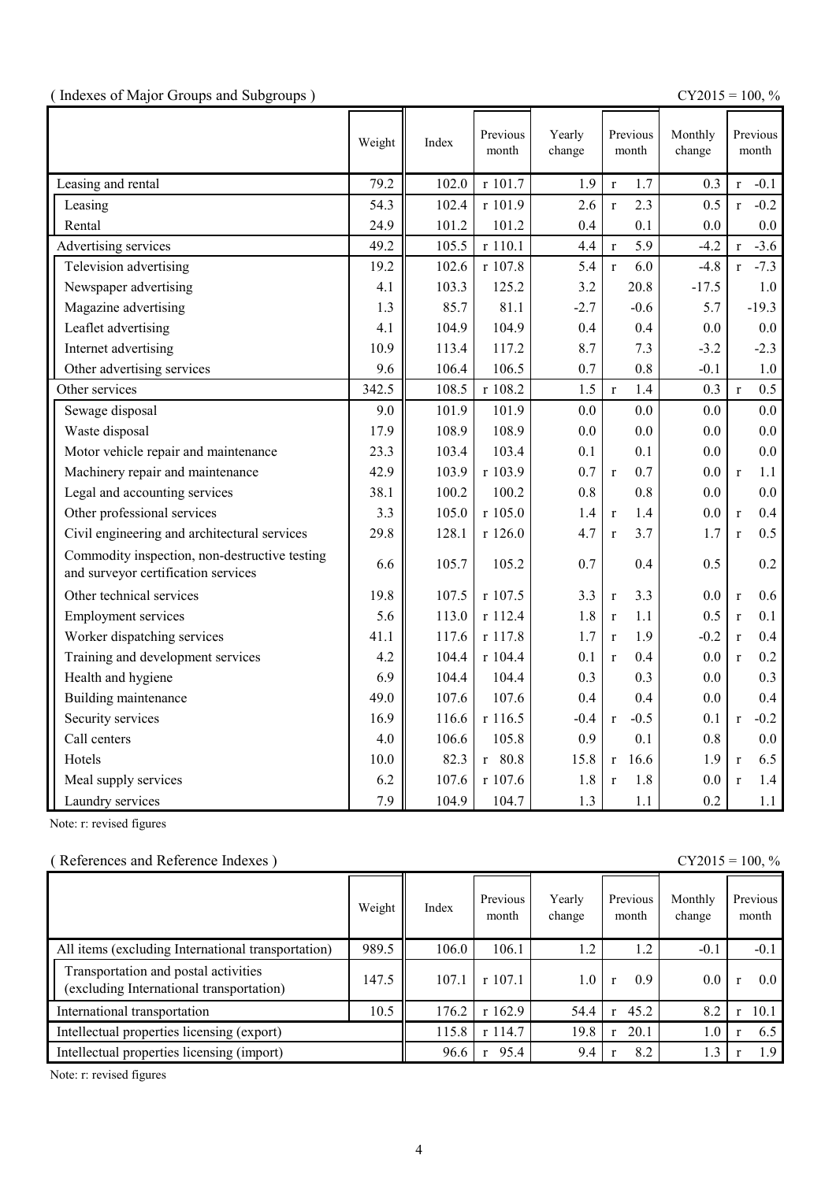|  | (Indexes of Major Groups and Subgroups) |  |
|--|-----------------------------------------|--|
|  |                                         |  |

(  $\text{CY2015} = 100, \%$ 

|                                                                                      | Weight | Index | Previous<br>month | Yearly<br>change |              | Previous<br>month | Monthly<br>change |              | Previous<br>month |
|--------------------------------------------------------------------------------------|--------|-------|-------------------|------------------|--------------|-------------------|-------------------|--------------|-------------------|
| Leasing and rental                                                                   | 79.2   | 102.0 | r 101.7           | 1.9              | $\mathbf{r}$ | 1.7               | 0.3               | $\mathbf{r}$ | $-0.1$            |
| Leasing                                                                              | 54.3   | 102.4 | r 101.9           | 2.6              | $\mathbf{r}$ | 2.3               | 0.5               | $\mathbf{r}$ | $-0.2$            |
| Rental                                                                               | 24.9   | 101.2 | 101.2             | 0.4              |              | 0.1               | 0.0               |              | 0.0               |
| Advertising services                                                                 | 49.2   | 105.5 | r 110.1           | 4.4              | $\mathbf r$  | 5.9               | $-4.2$            | $\mathbf{r}$ | $-3.6$            |
| Television advertising                                                               | 19.2   | 102.6 | r 107.8           | 5.4              | $\mathbf{r}$ | 6.0               | $-4.8$            | $\mathbf{r}$ | $-7.3$            |
| Newspaper advertising                                                                | 4.1    | 103.3 | 125.2             | 3.2              |              | 20.8              | $-17.5$           |              | 1.0               |
| Magazine advertising                                                                 | 1.3    | 85.7  | 81.1              | $-2.7$           |              | $-0.6$            | 5.7               |              | $-19.3$           |
| Leaflet advertising                                                                  | 4.1    | 104.9 | 104.9             | 0.4              |              | 0.4               | 0.0               |              | 0.0               |
| Internet advertising                                                                 | 10.9   | 113.4 | 117.2             | 8.7              |              | 7.3               | $-3.2$            |              | $-2.3$            |
| Other advertising services                                                           | 9.6    | 106.4 | 106.5             | 0.7              |              | 0.8               | $-0.1$            |              | 1.0               |
| Other services                                                                       | 342.5  | 108.5 | r 108.2           | 1.5              | $\mathbf r$  | 1.4               | 0.3               | $\mathbf{r}$ | 0.5               |
| Sewage disposal                                                                      | 9.0    | 101.9 | 101.9             | 0.0              |              | 0.0               | 0.0               |              | 0.0               |
| Waste disposal                                                                       | 17.9   | 108.9 | 108.9             | 0.0              |              | 0.0               | 0.0               |              | 0.0               |
| Motor vehicle repair and maintenance                                                 | 23.3   | 103.4 | 103.4             | 0.1              |              | 0.1               | 0.0               |              | 0.0               |
| Machinery repair and maintenance                                                     | 42.9   | 103.9 | r 103.9           | 0.7              | $\mathbf r$  | 0.7               | 0.0               | $\mathbf{r}$ | 1.1               |
| Legal and accounting services                                                        | 38.1   | 100.2 | 100.2             | 0.8              |              | 0.8               | 0.0               |              | 0.0               |
| Other professional services                                                          | 3.3    | 105.0 | r 105.0           | 1.4              | $\mathbf r$  | 1.4               | 0.0               | $\mathbf{r}$ | 0.4               |
| Civil engineering and architectural services                                         | 29.8   | 128.1 | r 126.0           | 4.7              | $\mathbf{r}$ | 3.7               | 1.7               | $\mathbf{r}$ | 0.5               |
| Commodity inspection, non-destructive testing<br>and surveyor certification services | 6.6    | 105.7 | 105.2             | 0.7              |              | 0.4               | 0.5               |              | 0.2               |
| Other technical services                                                             | 19.8   | 107.5 | r 107.5           | 3.3              | $\mathbf r$  | 3.3               | 0.0               | $\mathbf r$  | 0.6               |
| <b>Employment services</b>                                                           | 5.6    | 113.0 | r 112.4           | 1.8              | $\mathbf r$  | 1.1               | 0.5               | $\mathbf{r}$ | 0.1               |
| Worker dispatching services                                                          | 41.1   | 117.6 | r 117.8           | 1.7              | $\mathbf{r}$ | 1.9               | $-0.2$            | $\mathbf{r}$ | 0.4               |
| Training and development services                                                    | 4.2    | 104.4 | r 104.4           | 0.1              | $\mathbf{r}$ | 0.4               | 0.0               | $\mathbf{r}$ | 0.2               |
| Health and hygiene                                                                   | 6.9    | 104.4 | 104.4             | 0.3              |              | 0.3               | 0.0               |              | 0.3               |
| Building maintenance                                                                 | 49.0   | 107.6 | 107.6             | 0.4              |              | 0.4               | 0.0               |              | 0.4               |
| Security services                                                                    | 16.9   | 116.6 | r 116.5           | $-0.4$           | $\mathbf r$  | $-0.5$            | 0.1               | $\mathbf{r}$ | $-0.2$            |
| Call centers                                                                         | 4.0    | 106.6 | 105.8             | 0.9              |              | 0.1               | 0.8               |              | 0.0               |
| Hotels                                                                               | 10.0   | 82.3  | $r$ 80.8          | 15.8             | $\mathbf{r}$ | 16.6              | 1.9               | $\mathbf{r}$ | 6.5               |
| Meal supply services                                                                 | 6.2    | 107.6 | r 107.6           | 1.8              | $\mathbf{r}$ | 1.8               | 0.0               | $\mathbf{r}$ | 1.4               |
| Laundry services                                                                     | 7.9    | 104.9 | 104.7             | 1.3              |              | 1.1               | 0.2               |              | 1.1               |

Note: r: revised figures

### ( References and Reference Indexes ) CY2015 = 100, %

|                                                                                  | Weight | Index | Previous<br>month | Yearly<br>change | Previous<br>month | Monthly<br>change | Previous<br>month |
|----------------------------------------------------------------------------------|--------|-------|-------------------|------------------|-------------------|-------------------|-------------------|
| All items (excluding International transportation)                               | 989.5  | 106.0 | 106.1             | 1.2              | 1.2               | $-0.1$            | $-0.1$            |
| Transportation and postal activities<br>(excluding International transportation) | 147.5  | 107.1 | r 107.1           | 1.0              | 0.9               | $0.0\,$           | 0.0 <sub>1</sub>  |
| International transportation                                                     | 10.5   | 176.2 | r162.9            | 54.4             | 45.2<br>r         | 8.2               | 10.1              |
| Intellectual properties licensing (export)                                       |        | 115.8 | $r$ 114.7         | 19.8             | 20.1              | 1.0               | 6.5               |
| Intellectual properties licensing (import)                                       |        | 96.6  | 95.4              | 9.4              | 8.2               | 1.3               | 1.9               |

Note: r: revised figures